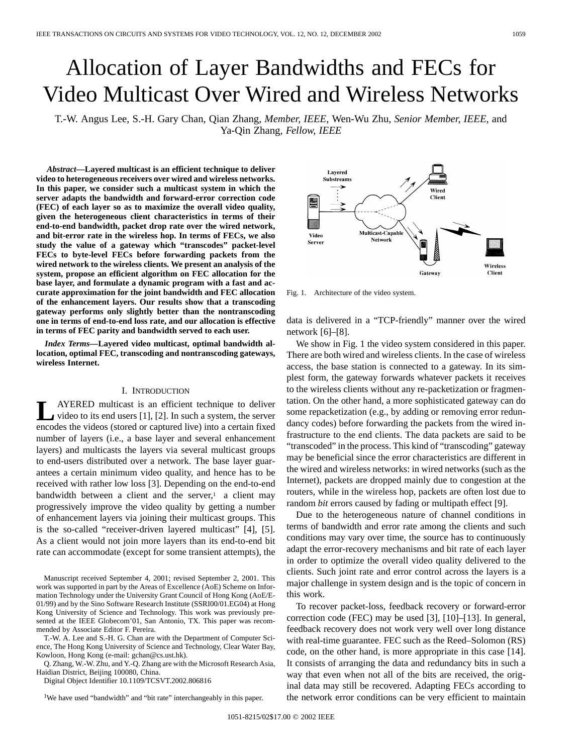# Allocation of Layer Bandwidths and FECs for Video Multicast Over Wired and Wireless Networks

T.-W. Angus Lee, S.-H. Gary Chan, Qian Zhang*, Member, IEEE*, Wen-Wu Zhu*, Senior Member, IEEE*, and Ya-Qin Zhang*, Fellow, IEEE*

*Abstract—***Layered multicast is an efficient technique to deliver video to heterogeneous receivers over wired and wireless networks. In this paper, we consider such a multicast system in which the server adapts the bandwidth and forward-error correction code (FEC) of each layer so as to maximize the overall video quality, given the heterogeneous client characteristics in terms of their end-to-end bandwidth, packet drop rate over the wired network, and bit-error rate in the wireless hop. In terms of FECs, we also study the value of a gateway which "transcodes" packet-level FECs to byte-level FECs before forwarding packets from the wired network to the wireless clients. We present an analysis of the system, propose an efficient algorithm on FEC allocation for the base layer, and formulate a dynamic program with a fast and accurate approximation for the joint bandwidth and FEC allocation of the enhancement layers. Our results show that a transcoding gateway performs only slightly better than the nontranscoding one in terms of end-to-end loss rate, and our allocation is effective in terms of FEC parity and bandwidth served to each user.**

*Index Terms—***Layered video multicast, optimal bandwidth allocation, optimal FEC, transcoding and nontranscoding gateways, wireless Internet.**

# I. INTRODUCTION

LAYERED multicast is an efficient technique to deliver<br>video to its end users [1], [2]. In such a system, the server encodes the videos (stored or captured live) into a certain fixed number of layers (i.e., a base layer and several enhancement layers) and multicasts the layers via several multicast groups to end-users distributed over a network. The base layer guarantees a certain minimum video quality, and hence has to be received with rather low loss [3]. Depending on the end-to-end bandwidth between a client and the server, $\frac{1}{1}$  a client may progressively improve the video quality by getting a number of enhancement layers via joining their multicast groups. This is the so-called "receiver-driven layered multicast" [4], [5]. As a client would not join more layers than its end-to-end bit rate can accommodate (except for some transient attempts), the

Manuscript received September 4, 2001; revised September 2, 2001. This work was supported in part by the Areas of Excellence (AoE) Scheme on Information Technology under the University Grant Council of Hong Kong (AoE/E-01/99) and by the Sino Software Research Institute (SSRI00/01.EG04) at Hong Kong University of Science and Technology. This work was previously presented at the IEEE Globecom'01, San Antonio, TX. This paper was recommended by Associate Editor F. Pereira.

T.-W. A. Lee and S.-H. G. Chan are with the Department of Computer Science, The Hong Kong University of Science and Technology, Clear Water Bay, Kowloon, Hong Kong (e-mail: gchan@cs.ust.hk).

Q. Zhang, W.-W. Zhu, and Y.-Q. Zhang are with the Microsoft Research Asia, Haidian District, Beijing 100080, China.

Digital Object Identifier 10.1109/TCSVT.2002.806816

1We have used "bandwidth" and "bit rate" interchangeably in this paper.



Fig. 1. Architecture of the video system.

data is delivered in a "TCP-friendly" manner over the wired network [6]–[8].

We show in Fig. 1 the video system considered in this paper. There are both wired and wireless clients. In the case of wireless access, the base station is connected to a gateway. In its simplest form, the gateway forwards whatever packets it receives to the wireless clients without any re-packetization or fragmentation. On the other hand, a more sophisticated gateway can do some repacketization (e.g., by adding or removing error redundancy codes) before forwarding the packets from the wired infrastructure to the end clients. The data packets are said to be "transcoded" in the process. This kind of "transcoding" gateway may be beneficial since the error characteristics are different in the wired and wireless networks: in wired networks (such as the Internet), packets are dropped mainly due to congestion at the routers, while in the wireless hop, packets are often lost due to random *bit* errors caused by fading or multipath effect [9].

Due to the heterogeneous nature of channel conditions in terms of bandwidth and error rate among the clients and such conditions may vary over time, the source has to continuously adapt the error-recovery mechanisms and bit rate of each layer in order to optimize the overall video quality delivered to the clients. Such joint rate and error control across the layers is a major challenge in system design and is the topic of concern in this work.

To recover packet-loss, feedback recovery or forward-error correction code (FEC) may be used [3], [10]–[13]. In general, feedback recovery does not work very well over long distance with real-time guarantee. FEC such as the Reed–Solomon (RS) code, on the other hand, is more appropriate in this case [14]. It consists of arranging the data and redundancy bits in such a way that even when not all of the bits are received, the original data may still be recovered. Adapting FECs according to the network error conditions can be very efficient to maintain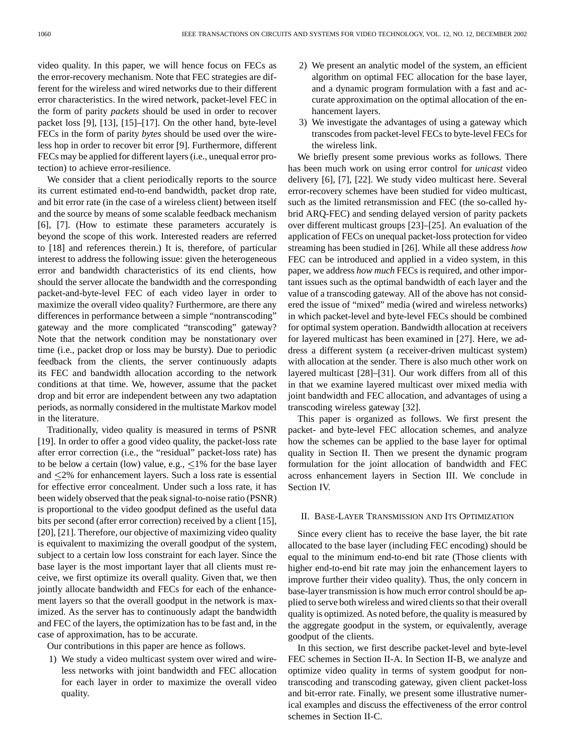video quality. In this paper, we will hence focus on FECs as the error-recovery mechanism. Note that FEC strategies are different for the wireless and wired networks due to their different error characteristics. In the wired network, packet-level FEC in the form of parity *packets* should be used in order to recover packet loss [9], [13], [15]–[17]. On the other hand, byte-level FECs in the form of parity *bytes* should be used over the wireless hop in order to recover bit error [9]. Furthermore, different FECs may be applied for different layers (i.e., unequal error protection) to achieve error-resilience.

We consider that a client periodically reports to the source its current estimated end-to-end bandwidth, packet drop rate, and bit error rate (in the case of a wireless client) between itself and the source by means of some scalable feedback mechanism [6], [7]. (How to estimate these parameters accurately is beyond the scope of this work. Interested readers are referred to [18] and references therein.) It is, therefore, of particular interest to address the following issue: given the heterogeneous error and bandwidth characteristics of its end clients, how should the server allocate the bandwidth and the corresponding packet-and-byte-level FEC of each video layer in order to maximize the overall video quality? Furthermore, are there any differences in performance between a simple "nontranscoding" gateway and the more complicated "transcoding" gateway? Note that the network condition may be nonstationary over time (i.e., packet drop or loss may be bursty). Due to periodic feedback from the clients, the server continuously adapts its FEC and bandwidth allocation according to the network conditions at that time. We, however, assume that the packet drop and bit error are independent between any two adaptation periods, as normally considered in the multistate Markov model in the literature.

Traditionally, video quality is measured in terms of PSNR [19]. In order to offer a good video quality, the packet-loss rate after error correction (i.e., the "residual" packet-loss rate) has to be below a certain (low) value, e.g.,  $\leq$ 1% for the base layer and  $\leq$ 2% for enhancement layers. Such a loss rate is essential for effective error concealment. Under such a loss rate, it has been widely observed that the peak signal-to-noise ratio (PSNR) is proportional to the video goodput defined as the useful data bits per second (after error correction) received by a client [15], [20], [21]. Therefore, our objective of maximizing video quality is equivalent to maximizing the overall goodput of the system, subject to a certain low loss constraint for each layer. Since the base layer is the most important layer that all clients must receive, we first optimize its overall quality. Given that, we then jointly allocate bandwidth and FECs for each of the enhancement layers so that the overall goodput in the network is maximized. As the server has to continuously adapt the bandwidth and FEC of the layers, the optimization has to be fast and, in the case of approximation, has to be accurate.

Our contributions in this paper are hence as follows.

1) We study a video multicast system over wired and wireless networks with joint bandwidth and FEC allocation for each layer in order to maximize the overall video quality.

- 2) We present an analytic model of the system, an efficient algorithm on optimal FEC allocation for the base layer, and a dynamic program formulation with a fast and accurate approximation on the optimal allocation of the enhancement layers.
- 3) We investigate the advantages of using a gateway which transcodes from packet-level FECs to byte-level FECs for the wireless link.

We briefly present some previous works as follows. There has been much work on using error control for *unicast* video delivery [6], [7], [22]. We study video multicast here. Several error-recovery schemes have been studied for video multicast, such as the limited retransmission and FEC (the so-called hybrid ARQ-FEC) and sending delayed version of parity packets over different multicast groups [23]–[25]. An evaluation of the application of FECs on unequal packet-loss protection for video streaming has been studied in [26]. While all these address *how* FEC can be introduced and applied in a video system, in this paper, we address *how much* FECs is required, and other important issues such as the optimal bandwidth of each layer and the value of a transcoding gateway. All of the above has not considered the issue of "mixed" media (wired and wireless networks) in which packet-level and byte-level FECs should be combined for optimal system operation. Bandwidth allocation at receivers for layered multicast has been examined in [27]. Here, we address a different system (a receiver-driven multicast system) with allocation at the sender. There is also much other work on layered multicast [28]–[31]. Our work differs from all of this in that we examine layered multicast over mixed media with joint bandwidth and FEC allocation, and advantages of using a transcoding wireless gateway [32].

This paper is organized as follows. We first present the packet- and byte-level FEC allocation schemes, and analyze how the schemes can be applied to the base layer for optimal quality in Section II. Then we present the dynamic program formulation for the joint allocation of bandwidth and FEC across enhancement layers in Section III. We conclude in Section IV.

## II. BASE-LAYER TRANSMISSION AND ITS OPTIMIZATION

Since every client has to receive the base layer, the bit rate allocated to the base layer (including FEC encoding) should be equal to the minimum end-to-end bit rate (Those clients with higher end-to-end bit rate may join the enhancement layers to improve further their video quality). Thus, the only concern in base-layer transmission is how much error control should be applied to serve both wireless and wired clients so that their overall quality is optimized. As noted before, the quality is measured by the aggregate goodput in the system, or equivalently, average goodput of the clients.

In this section, we first describe packet-level and byte-level FEC schemes in Section II-A. In Section II-B, we analyze and optimize video quality in terms of system goodput for nontranscoding and transcoding gateway, given client packet-loss and bit-error rate. Finally, we present some illustrative numerical examples and discuss the effectiveness of the error control schemes in Section II-C.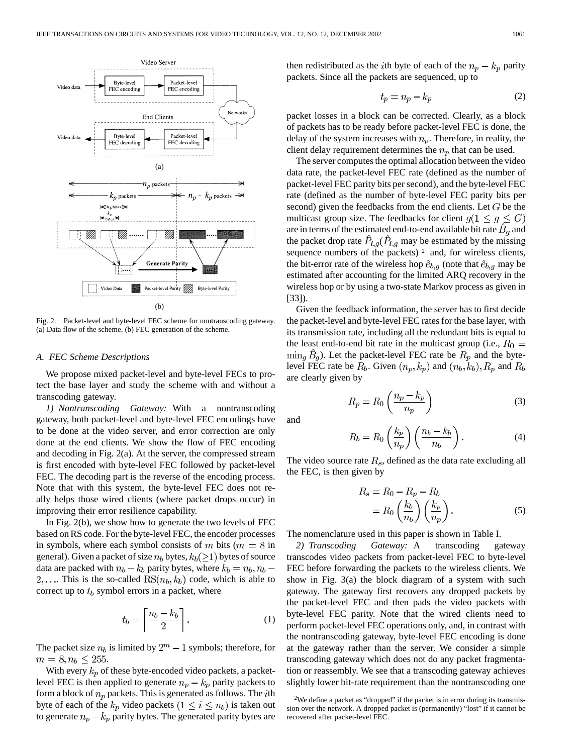

Fig. 2. Packet-level and byte-level FEC scheme for nontranscoding gateway. (a) Data flow of the scheme. (b) FEC generation of the scheme.

## *A. FEC Scheme Descriptions*

We propose mixed packet-level and byte-level FECs to protect the base layer and study the scheme with and without a transcoding gateway.

*1) Nontranscoding Gateway:* With a nontranscoding gateway, both packet-level and byte-level FEC encodings have to be done at the video server, and error correction are only done at the end clients. We show the flow of FEC encoding and decoding in Fig. 2(a). At the server, the compressed stream is first encoded with byte-level FEC followed by packet-level FEC. The decoding part is the reverse of the encoding process. Note that with this system, the byte-level FEC does not really helps those wired clients (where packet drops occur) in improving their error resilience capability.

In Fig. 2(b), we show how to generate the two levels of FEC based on RS code. For the byte-level FEC, the encoder processes in symbols, where each symbol consists of m bits ( $m = 8$  in general). Given a packet of size  $n_b$  bytes,  $k_b(\geq 1)$  bytes of source data are packed with  $n_b - k_b$  parity bytes, where  $k_b = n_b, n_b -$ 2,.... This is the so-called  $RS(n_b, k_b)$  code, which is able to correct up to  $t_b$  symbol errors in a packet, where

$$
t_b = \left\lceil \frac{n_b - k_b}{2} \right\rceil. \tag{1}
$$

The packet size  $n_b$  is limited by  $2^m - 1$  symbols; therefore, for  $m = 8, n_b \leq 255.$ 

With every  $k_p$  of these byte-encoded video packets, a packetlevel FEC is then applied to generate  $n_p - k_p$  parity packets to form a block of  $n_p$  packets. This is generated as follows. The *i*th byte of each of the  $k_p$  video packets  $(1 \le i \le n_b)$  is taken out to generate  $n_p - k_p$  parity bytes. The generated parity bytes are then redistributed as the *i*th byte of each of the  $n_p - k_p$  parity packets. Since all the packets are sequenced, up to

$$
t_p = n_p - k_p \tag{2}
$$

packet losses in a block can be corrected. Clearly, as a block of packets has to be ready before packet-level FEC is done, the delay of the system increases with  $n_p$ . Therefore, in reality, the client delay requirement determines the  $n<sub>p</sub>$  that can be used.

The server computes the optimal allocation between the video data rate, the packet-level FEC rate (defined as the number of packet-level FEC parity bits per second), and the byte-level FEC rate (defined as the number of byte-level FEC parity bits per second) given the feedbacks from the end clients. Let  $G$  be the multicast group size. The feedbacks for client  $g(1 \leq g \leq G)$ are in terms of the estimated end-to-end available bit rate  $B<sub>g</sub>$  and the packet drop rate  $\ddot{P}_{l,q}(\ddot{P}_{l,q}$  may be estimated by the missing sequence numbers of the packets)  $2$  and, for wireless clients, the bit-error rate of the wireless hop  $\hat{e}_{b,q}$  (note that  $\hat{e}_{b,q}$  may be estimated after accounting for the limited ARQ recovery in the wireless hop or by using a two-state Markov process as given in [33]).

Given the feedback information, the server has to first decide the packet-level and byte-level FEC rates for the base layer, with its transmission rate, including all the redundant bits is equal to the least end-to-end bit rate in the multicast group (i.e.,  $R_0 =$  $\min_{g} \hat{B}_{g}$ ). Let the packet-level FEC rate be  $R_{p}$  and the bytelevel FEC rate be  $R_b$ . Given  $(n_p, k_p)$  and  $(n_b, k_b)$ ,  $R_p$  and  $R_b$ are clearly given by

$$
R_p = R_0 \left(\frac{n_p - k_p}{n_p}\right) \tag{3}
$$

and

$$
R_b = R_0 \left(\frac{k_p}{n_p}\right) \left(\frac{n_b - k_b}{n_b}\right). \tag{4}
$$

The video source rate  $R_s$ , defined as the data rate excluding all the FEC, is then given by

$$
R_s = R_0 - R_p - R_b
$$
  
=  $R_0 \left(\frac{k_b}{n_b}\right) \left(\frac{k_p}{n_p}\right)$ . (5)

The nomenclature used in this paper is shown in Table I.

Ĩ

*2) Transcoding Gateway:* A transcoding gateway transcodes video packets from packet-level FEC to byte-level FEC before forwarding the packets to the wireless clients. We show in Fig. 3(a) the block diagram of a system with such gateway. The gateway first recovers any dropped packets by the packet-level FEC and then pads the video packets with byte-level FEC parity. Note that the wired clients need to perform packet-level FEC operations only, and, in contrast with the nontranscoding gateway, byte-level FEC encoding is done at the gateway rather than the server. We consider a simple transcoding gateway which does not do any packet fragmentation or reassembly. We see that a transcoding gateway achieves slightly lower bit-rate requirement than the nontranscoding one

<sup>2</sup>We define a packet as "dropped" if the packet is in error during its transmission over the network. A dropped packet is (permanently) "lost" if it cannot be recovered after packet-level FEC.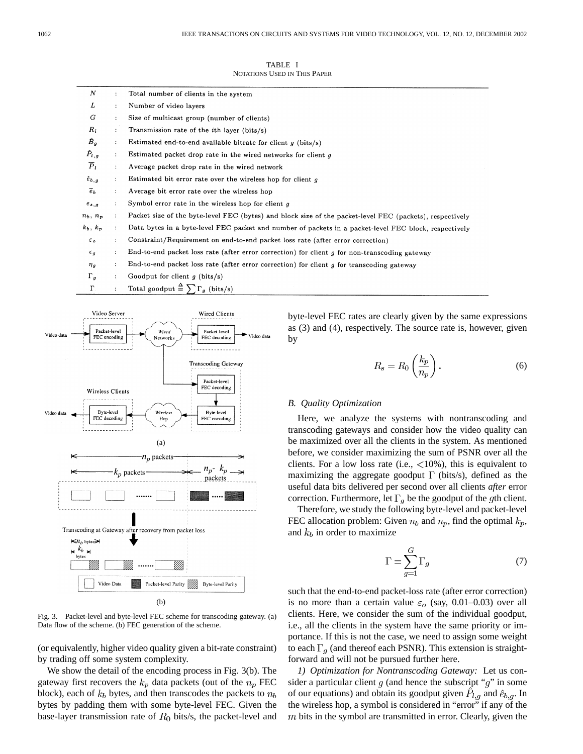| TABLE I                             |
|-------------------------------------|
| <b>NOTATIONS USED IN THIS PAPER</b> |

| $\boldsymbol{N}$  | ÷                    | Total number of clients in the system                                                                    |  |  |
|-------------------|----------------------|----------------------------------------------------------------------------------------------------------|--|--|
| L                 | ÷                    | Number of video layers                                                                                   |  |  |
| G                 | $\ddot{\phantom{a}}$ | Size of multicast group (number of clients)                                                              |  |  |
| $R_i$             | ÷                    | Transmission rate of the <i>i</i> th layer (bits/s)                                                      |  |  |
| $\hat{B}_g$       | ÷                    | Estimated end-to-end available bitrate for client $g$ (bits/s)                                           |  |  |
| $\hat{P}_{l,\,g}$ | $\ddot{\phantom{a}}$ | Estimated packet drop rate in the wired networks for client $g$                                          |  |  |
| $\overline{P}_l$  | $\ddot{\cdot}$       | Average packet drop rate in the wired network                                                            |  |  |
| $\hat{e}_{b,g}$   | $\ddot{\cdot}$       | Estimated bit error rate over the wireless hop for client $q$                                            |  |  |
| $\overline{e}_b$  | $\vdots$             | Average bit error rate over the wireless hop                                                             |  |  |
| $e_{s,g}$         |                      | Symbol error rate in the wireless hop for client $q$                                                     |  |  |
| $n_b$ , $n_p$     | $\ddot{\phantom{a}}$ | Packet size of the byte-level FEC (bytes) and block size of the packet-level FEC (packets), respectively |  |  |
| $k_b, k_p$        | $\ddot{\phantom{a}}$ | Data bytes in a byte-level FEC packet and number of packets in a packet-level FEC block, respectively    |  |  |
| $\varepsilon_o$   | ÷                    | Constraint/Requirement on end-to-end packet loss rate (after error correction)                           |  |  |
| $\epsilon_q$      | $\ddot{\phantom{a}}$ | End-to-end packet loss rate (after error correction) for client $g$ for non-transcoding gateway          |  |  |
| $\eta_g$          | ÷                    | End-to-end packet loss rate (after error correction) for client $g$ for transcoding gateway              |  |  |
| $\Gamma_g$        | ÷                    | Goodput for client $g$ (bits/s)                                                                          |  |  |
| $\Gamma$          |                      | Total goodput $\stackrel{\Delta}{=} \sum \Gamma_g$ (bits/s)                                              |  |  |



Fig. 3. Packet-level and byte-level FEC scheme for transcoding gateway. (a) Data flow of the scheme. (b) FEC generation of the scheme.

(or equivalently, higher video quality given a bit-rate constraint) by trading off some system complexity.

We show the detail of the encoding process in Fig. 3(b). The gateway first recovers the  $k_p$  data packets (out of the  $n_p$  FEC block), each of  $k_b$  bytes, and then transcodes the packets to  $n_b$ bytes by padding them with some byte-level FEC. Given the base-layer transmission rate of  $R_0$  bits/s, the packet-level and byte-level FEC rates are clearly given by the same expressions as (3) and (4), respectively. The source rate is, however, given by

$$
R_s = R_0 \left(\frac{k_p}{n_p}\right). \tag{6}
$$

## *B. Quality Optimization*

Here, we analyze the systems with nontranscoding and transcoding gateways and consider how the video quality can be maximized over all the clients in the system. As mentioned before, we consider maximizing the sum of PSNR over all the clients. For a low loss rate (i.e.,  $\langle 10\% \rangle$ , this is equivalent to maximizing the aggregate goodput  $\Gamma$  (bits/s), defined as the useful data bits delivered per second over all clients *after* error correction. Furthermore, let  $\Gamma_q$  be the goodput of the gth client.

Therefore, we study the following byte-level and packet-level FEC allocation problem: Given  $n_b$  and  $n_p$ , find the optimal  $k_p$ , and  $k_b$  in order to maximize

$$
\Gamma = \sum_{g=1}^{G} \Gamma_g \tag{7}
$$

such that the end-to-end packet-loss rate (after error correction) is no more than a certain value  $\varepsilon_o$  (say, 0.01–0.03) over all clients. Here, we consider the sum of the individual goodput, i.e., all the clients in the system have the same priority or importance. If this is not the case, we need to assign some weight to each  $\Gamma_q$  (and thereof each PSNR). This extension is straightforward and will not be pursued further here.

*1) Optimization for Nontranscoding Gateway:* Let us consider a particular client  $g$  (and hence the subscript " $g$ " in some of our equations) and obtain its goodput given  $\ddot{P}_{l,q}$  and  $\hat{e}_{b,q}$ . In the wireless hop, a symbol is considered in "error" if any of the  $m$  bits in the symbol are transmitted in error. Clearly, given the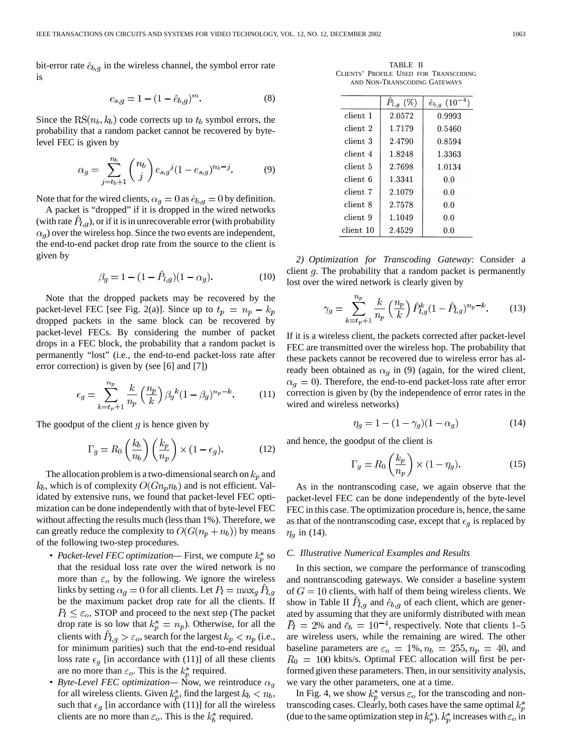bit-error rate  $\hat{e}_{b,q}$  in the wireless channel, the symbol error rate is

$$
e_{s,q} = 1 - (1 - \hat{e}_{b,q})^m. \tag{8}
$$

Since the  $RS(n_b, k_b)$  code corrects up to  $t_b$  symbol errors, the probability that a random packet cannot be recovered by bytelevel FEC is given by

$$
\alpha_g = \sum_{j=t_b+1}^{n_b} \binom{n_b}{j} e_{s,g}^j (1 - e_{s,g})^{n_b - j}.
$$
 (9)

Note that for the wired clients,  $\alpha_g = 0$  as  $\hat{e}_{b,g} = 0$  by definition.

A packet is "dropped" if it is dropped in the wired networks (with rate  $P_{l,q}$ ), or if it is in unrecoverable error (with probability  $\alpha_q$ ) over the wireless hop. Since the two events are independent, the end-to-end packet drop rate from the source to the client is given by

$$
\beta_g = 1 - (1 - \hat{P}_{l,g})(1 - \alpha_g). \tag{10}
$$

Note that the dropped packets may be recovered by the packet-level FEC [see Fig. 2(a)]. Since up to  $t_p = n_p - k_p$ dropped packets in the same block can be recovered by packet-level FECs. By considering the number of packet drops in a FEC block, the probability that a random packet is permanently "lost" (i.e., the end-to-end packet-loss rate after error correction) is given by (see [6] and [7])

$$
\epsilon_g = \sum_{k=t_p+1}^{n_p} \frac{k}{n_p} \left(\frac{n_p}{k}\right) \beta_g^k (1-\beta_g)^{n_p-k}.\tag{11}
$$

The goodput of the client  $q$  is hence given by

$$
\Gamma_g = R_0 \left(\frac{k_b}{n_b}\right) \left(\frac{k_p}{n_p}\right) \times (1 - \epsilon_g). \tag{12}
$$

The allocation problem is a two-dimensional search on  $k_p$  and  $k_b$ , which is of complexity  $O( G n_p n_b )$  and is not efficient. Validated by extensive runs, we found that packet-level FEC optimization can be done independently with that of byte-level FEC without affecting the results much (less than 1%). Therefore, we can greatly reduce the complexity to  $O(G(n_p + n_b))$  by means of the following two-step procedures.

- *Packet-level FEC optimization* First, we compute  $k_n^*$  so that the residual loss rate over the wired network is no more than  $\varepsilon_o$  by the following. We ignore the wireless links by setting  $\alpha_g = 0$  for all clients. Let  $P_l = \max_q P_{l,g}$ be the maximum packet drop rate for all the clients. If  $P_l \leq \varepsilon_o$ , STOP and proceed to the next step (The packet drop rate is so low that  $k_p^* = n_p$ ). Otherwise, for all the clients with  $P_{l,q} > \varepsilon_o$ , search for the largest  $k_p < n_p$  (i.e., for minimum parities) such that the end-to-end residual loss rate  $\epsilon_q$  [in accordance with (11)] of all these clients are no more than  $\varepsilon_o$ . This is the  $k_p^*$  required.
- *Byte-Level FEC optimization* Now, we reintroduce  $\alpha_q$ for all wireless clients. Given  $k_p^*$ , find the largest  $k_b < n_b$ , such that  $\epsilon_g$  [in accordance with (11)] for all the wireless clients are no more than  $\varepsilon_o$ . This is the  $k_b^*$  required.

TABLE II CLIENTS' PROFILE USED FOR TRANSCODING AND NON-TRANSCODING GATEWAYS

|           | $P_{l,g}(\%)$ | $\hat{e}_{b,g}$ (10 <sup>-</sup> |
|-----------|---------------|----------------------------------|
| client 1  | 2.0572        | 0.9993                           |
| client 2  | 1.7179        | 0.5460                           |
| client 3  | 2.4790        | 0.8594                           |
| client 4  | 1.8248        | 1.3363                           |
| client 5  | 2.7698        | 1.0134                           |
| client 6  | 1.3341        | 0.0                              |
| client 7  | 2.1079        | 0.0                              |
| client 8  | 2.7578        | 0.0                              |
| client 9  | 1.1049        | 0.0                              |
| client 10 | 2.4529        | $0.0\,$                          |

*2) Optimization for Transcoding Gateway:* Consider a client  $q$ . The probability that a random packet is permanently lost over the wired network is clearly given by

$$
\gamma_g = \sum_{k=t_p+1}^{n_p} \frac{k}{n_p} \left(\frac{n_p}{k}\right) \hat{P}_{l,g}^k (1-\hat{P}_{l,g})^{n_p-k}.
$$
 (13)

If it is a wireless client, the packets corrected after packet-level FEC are transmitted over the wireless hop. The probability that these packets cannot be recovered due to wireless error has already been obtained as  $\alpha_q$  in (9) (again, for the wired client,  $\alpha_q = 0$ ). Therefore, the end-to-end packet-loss rate after error correction is given by (by the independence of error rates in the wired and wireless networks)

$$
\eta_g = 1 - (1 - \gamma_g)(1 - \alpha_g) \tag{14}
$$

and hence, the goodput of the client is

$$
\Gamma_g = R_0 \left(\frac{k_p}{n_p}\right) \times (1 - \eta_g). \tag{15}
$$

As in the nontranscoding case, we again observe that the packet-level FEC can be done independently of the byte-level FEC in this case. The optimization procedure is, hence, the same as that of the nontranscoding case, except that  $\epsilon_g$  is replaced by  $\eta_a$  in (14).

## *C. Illustrative Numerical Examples and Results*

In this section, we compare the performance of transcoding and nontranscoding gateways. We consider a baseline system of  $G = 10$  clients, with half of them being wireless clients. We show in Table II  $P_{l,g}$  and  $\hat{e}_{b,g}$  of each client, which are generated by assuming that they are uniformly distributed with mean  $\bar{P}_l = 2\%$  and  $\bar{e}_b = 10^{-4}$ , respectively. Note that clients 1–5 are wireless users, while the remaining are wired. The other baseline parameters are  $\varepsilon_o = 1\%, n_b = 255, n_p = 40$ , and  $R_0 = 100$  kbits/s. Optimal FEC allocation will first be performed given these parameters. Then, in our sensitivity analysis, we vary the other parameters, one at a time.

In Fig. 4, we show  $k_p^*$  versus  $\varepsilon_o$  for the transcoding and nontranscoding cases. Clearly, both cases have the same optimal  $k_p^*$ (due to the same optimization step in  $k_p^*$ ).  $k_p^*$  increases with  $\varepsilon_o$  in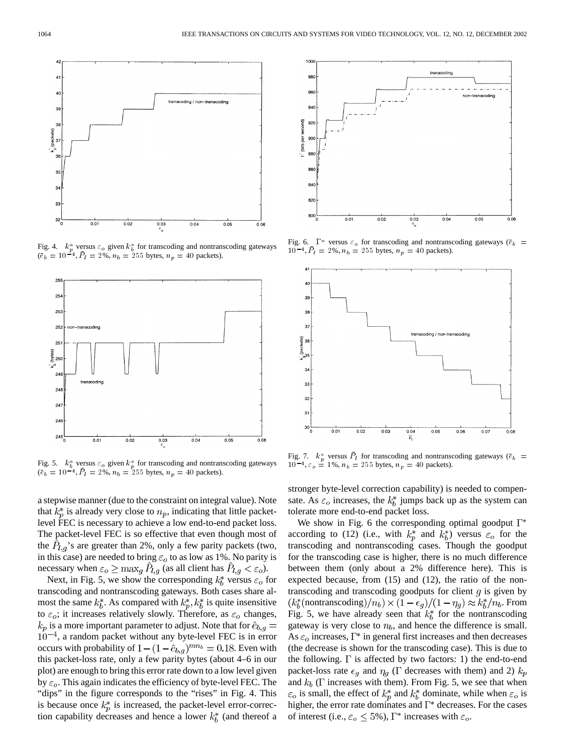

Fig. 4.  $k_p^*$  versus  $\varepsilon_o$  given  $k_b^*$  for transcoding and nontranscoding gateways  $(\bar{e}_b = 10^{-4}, \bar{P}_t = 2\%, n_b = 255$  bytes,  $n_p = 40$  packets).



Fig. 5.  $k_b^*$  versus  $\varepsilon_o$  given  $k_p^*$  for transcoding and nontranscoding gateways  $(\bar{e}_b = 10^{-4}, \bar{P}_l = 2\%, n_b = 255 \text{ bytes}, n_p = 40 \text{ packets}).$ 

a stepwise manner (due to the constraint on integral value). Note that  $k_n^*$  is already very close to  $n_p$ , indicating that little packetlevel FEC is necessary to achieve a low end-to-end packet loss. The packet-level FEC is so effective that even though most of the  $P_{l,q}$ 's are greater than 2%, only a few parity packets (two, in this case) are needed to bring  $\varepsilon_o$  to as low as 1%. No parity is necessary when  $\varepsilon_o \ge \max_g P_{l,g}$  (as all client has  $P_{l,g} < \varepsilon_o$ ).

Next, in Fig. 5, we show the corresponding  $k_b^*$  versus  $\varepsilon_o$  for transcoding and nontranscoding gateways. Both cases share almost the same  $k_b^*$ . As compared with  $k_p^*, k_b^*$  is quite insensitive to  $\varepsilon_o$ ; it increases relatively slowly. Therefore, as  $\varepsilon_o$  changes,  $k_p$  is a more important parameter to adjust. Note that for  $\hat{e}_{b,g}$  =  $10^{-4}$ , a random packet without any byte-level FEC is in error occurs with probability of  $1-(1-\hat{e}_{b,g})^{mn_b}=0.18.$  Even with this packet-loss rate, only a few parity bytes (about 4–6 in our plot) are enough to bring this error rate down to a low level given by  $\varepsilon_o$ . This again indicates the efficiency of byte-level FEC. The "dips" in the figure corresponds to the "rises" in Fig. 4. This is because once  $k_p^*$  is increased, the packet-level error-correction capability decreases and hence a lower  $k_b^*$  (and thereof a



Fig. 6.  $\Gamma^*$  versus  $\varepsilon_o$  for transcoding and nontranscoding gateways ( $\bar{e}_b$  =  $1^4$ ,  $\bar{P}_l = 2\%, n_b = 255$  bytes,  $n_p = 40$  packets).



Fig. 7.  $k_p^*$  versus  $\bar{P}_l$  for transcoding and nontranscoding gateways ( $\bar{e}_b$  =  $10^{-4}$ ,  $\varepsilon_o = 1\%$ ,  $n_b = 255$  bytes,  $n_p = 40$  packets).

stronger byte-level correction capability) is needed to compensate. As  $\varepsilon_o$  increases, the  $k_b^*$  jumps back up as the system can tolerate more end-to-end packet loss.

We show in Fig. 6 the corresponding optimal goodput  $\Gamma^*$ according to (12) (i.e., with  $k_p^*$  and  $k_b^*$ ) versus  $\varepsilon_o$  for the transcoding and nontranscoding cases. Though the goodput for the transcoding case is higher, there is no much difference between them (only about a 2% difference here). This is expected because, from (15) and (12), the ratio of the nontranscoding and transcoding goodputs for client  $g$  is given by  $(k_b^*(\text{nontranscoding})/n_b) \times (1 - \epsilon_g)/(1 - \eta_g) \approx k_b^*/n_b$ . From Fig. 5, we have already seen that  $k_b^*$  for the nontranscoding gateway is very close to  $n_b$ , and hence the difference is small. As  $\varepsilon_o$  increases,  $\Gamma^*$  in general first increases and then decreases (the decrease is shown for the transcoding case). This is due to the following.  $\Gamma$  is affected by two factors: 1) the end-to-end packet-loss rate  $\epsilon_q$  and  $\eta_q$  ( $\Gamma$  decreases with them) and 2)  $k_p$ and  $k_b$  ( $\Gamma$  increases with them). From Fig. 5, we see that when  $\varepsilon_o$  is small, the effect of  $k_p^*$  and  $k_b^*$  dominate, while when  $\varepsilon_o$  is higher, the error rate dominates and  $\Gamma^*$  decreases. For the cases of interest (i.e.,  $\varepsilon_o \leq 5\%$ ),  $\Gamma^*$  increases with  $\varepsilon_o$ .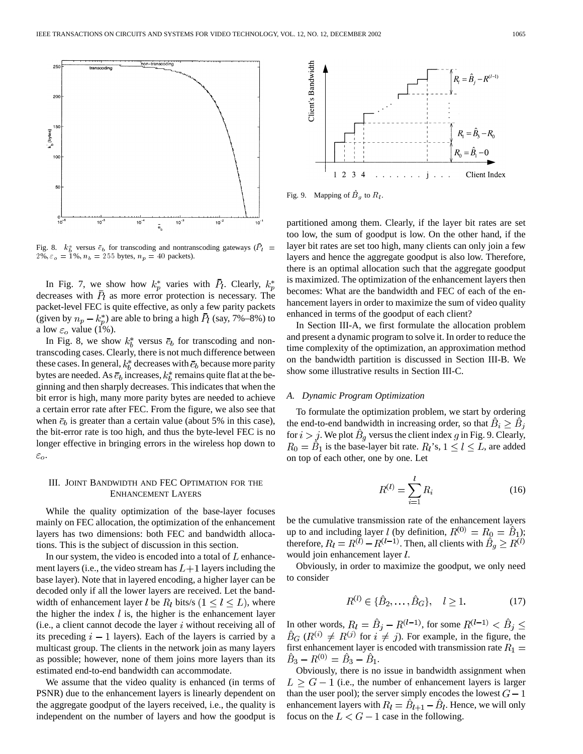

Fig. 8.  $k_b^*$  versus  $\bar{e}_b$  for transcoding and nontranscoding gateways ( $\bar{P}_l$  =  $2\%$ ,  $\varepsilon_o = 1\%$ ,  $n_b = 255$  bytes,  $n_p = 40$  packets).

In Fig. 7, we show how  $k_p^*$  varies with  $\bar{P}_l$ . Clearly,  $k_p^*$ decreases with  $\bar{P}_l$  as more error protection is necessary. The packet-level FEC is quite effective, as only a few parity packets (given by  $n_p - k_p^*$ ) are able to bring a high  $\bar{P}_l$  (say, 7%–8%) to a low  $\varepsilon_o$  value (1%).

In Fig. 8, we show  $k_b^*$  versus  $\bar{e}_b$  for transcoding and nontranscoding cases. Clearly, there is not much difference between these cases. In general,  $k_b^*$  decreases with  $\bar{e}_b$  because more parity bytes are needed. As  $\bar{e}_b$  increases,  $k_b^*$  remains quite flat at the beginning and then sharply decreases. This indicates that when the bit error is high, many more parity bytes are needed to achieve a certain error rate after FEC. From the figure, we also see that when  $\bar{e}_b$  is greater than a certain value (about 5% in this case), the bit-error rate is too high, and thus the byte-level FEC is no longer effective in bringing errors in the wireless hop down to  $\varepsilon_o.$ 

# III. JOINT BANDWIDTH AND FEC OPTIMATION FOR THE ENHANCEMENT LAYERS

While the quality optimization of the base-layer focuses mainly on FEC allocation, the optimization of the enhancement layers has two dimensions: both FEC and bandwidth allocations. This is the subject of discussion in this section.

In our system, the video is encoded into a total of  $L$  enhancement layers (i.e., the video stream has  $L+1$  layers including the base layer). Note that in layered encoding, a higher layer can be decoded only if all the lower layers are received. Let the bandwidth of enhancement layer *l* be  $R_l$  bits/s  $(1 \le l \le L)$ , where the higher the index  $l$  is, the higher is the enhancement layer (i.e., a client cannot decode the layer  $i$  without receiving all of its preceding  $i - 1$  layers). Each of the layers is carried by a multicast group. The clients in the network join as many layers as possible; however, none of them joins more layers than its estimated end-to-end bandwidth can accommodate.

We assume that the video quality is enhanced (in terms of PSNR) due to the enhancement layers is linearly dependent on the aggregate goodput of the layers received, i.e., the quality is independent on the number of layers and how the goodput is



Fig. 9. Mapping of  $\hat{B}_q$  to  $R_l$ .

partitioned among them. Clearly, if the layer bit rates are set too low, the sum of goodput is low. On the other hand, if the layer bit rates are set too high, many clients can only join a few layers and hence the aggregate goodput is also low. Therefore, there is an optimal allocation such that the aggregate goodput is maximized. The optimization of the enhancement layers then becomes: What are the bandwidth and FEC of each of the enhancement layers in order to maximize the sum of video quality enhanced in terms of the goodput of each client?

In Section III-A, we first formulate the allocation problem and present a dynamic program to solve it. In order to reduce the time complexity of the optimization, an approximation method on the bandwidth partition is discussed in Section III-B. We show some illustrative results in Section III-C.

# *A. Dynamic Program Optimization*

To formulate the optimization problem, we start by ordering the end-to-end bandwidth in increasing order, so that  $\hat{B}_i \geq \hat{B}_i$ for  $i > j$ . We plot  $\hat{B}_g$  versus the client index g in Fig. 9. Clearly,  $R_0 = \hat{B}_1$  is the base-layer bit rate.  $R_l$ 's,  $1 \le l \le L$ , are added on top of each other, one by one. Let

$$
R^{(l)} = \sum_{i=1}^{l} R_i
$$
 (16)

be the cumulative transmission rate of the enhancement layers up to and including layer *l* (by definition,  $R^{(0)} = R_0 = B_1$ ); therefore,  $R_l = R^{(l)} - R^{(l-1)}$ . Then, all clients with would join enhancement layer  $l$ .

Obviously, in order to maximize the goodput, we only need to consider

$$
R^{(l)} \in \{\hat{B}_2, \dots, \hat{B}_G\}, \quad l \ge 1. \tag{17}
$$

In other words,  $R_l = B_i - R^{(l-1)}$ , for some  $(R^{(i)} \neq R^{(j)}$  for  $i \neq j$ ). For example, in the figure, the first enhancement layer is encoded with transmission rate  $R_1 =$  $\hat{B}_3 - R^{(0)} = \hat{B}_3 - \hat{B}_1.$ 

Obviously, there is no issue in bandwidth assignment when  $L \geq G - 1$  (i.e., the number of enhancement layers is larger than the user pool); the server simply encodes the lowest  $G - 1$ enhancement layers with  $R_l = \hat{B}_{l+1} - \hat{B}_l$ . Hence, we will only focus on the  $L < G - 1$  case in the following.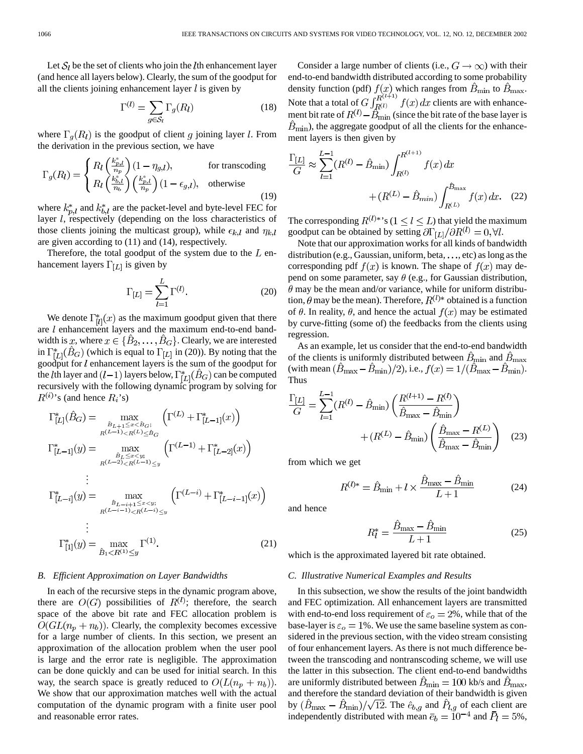Let  $S_l$  be the set of clients who join the lth enhancement layer (and hence all layers below). Clearly, the sum of the goodput for all the clients joining enhancement layer  $l$  is given by

$$
\Gamma^{(l)} = \sum_{g \in \mathcal{S}_l} \Gamma_g(R_l) \tag{18}
$$

where  $\Gamma_q(R_l)$  is the goodput of client g joining layer l. From the derivation in the previous section, we have

$$
\Gamma_g(R_l) = \begin{cases}\nR_l\left(\frac{k_{p,l}^*}{n_p}\right)(1 - \eta_{g,l}), & \text{for transcoding} \\
R_l\left(\frac{k_{b,l}^*}{n_b}\right)\left(\frac{k_{p,l}^*}{n_p}\right)(1 - \epsilon_{g,l}), & \text{otherwise}\n\end{cases}
$$
\n(19)

where  $k_{p,l}^*$  and  $k_{b,l}^*$  are the packet-level and byte-level FEC for layer  $l$ , respectively (depending on the loss characteristics of those clients joining the multicast group), while  $\epsilon_{k,l}$  and  $\eta_{k,l}$ are given according to (11) and (14), respectively.

Therefore, the total goodput of the system due to the  $L$  enhancement layers  $\Gamma_{[L]}$  is given by

$$
\Gamma_{[L]} = \sum_{l=1}^{L} \Gamma^{(l)}.
$$
\n(20)

We denote  $\Gamma_{[l]}^*(x)$  as the maximum goodput given that there are  $l$  enhancement layers and the maximum end-to-end bandwidth is x, where  $x \in {\hat{B}_2, \ldots, \hat{B}_G}$ . Clearly, we are interested in  $\Gamma_{[L]}^*(\hat{B}_G)$  (which is equal to  $\Gamma_{[L]}$  in (20)). By noting that the goodput for  $l$  enhancement layers is the sum of the goodput for the *l*th layer and  $(l-1)$  layers below,  $\Gamma_{[L]}^*(B_G)$  can be computed recursively with the following dynamic program by solving for  $R^{(i)}$ 's (and hence  $R_i$ 's)

$$
\Gamma_{[L]}^{*}(\hat{B}_{G}) = \max_{\substack{\hat{B}_{L+1} \leq x < \hat{B}_{G};\\R^{(L-1)} < R^{(L)} \leq \hat{B}_{G}}} \left(\Gamma^{(L)} + \Gamma_{[L-1]}^{*}(x)\right)
$$
\n
$$
\Gamma_{[L-1]}^{*}(y) = \max_{\substack{\hat{B}_{L} \leq x < y;\\R^{(L-2)} < R^{(L-1)} \leq y}} \left(\Gamma^{(L-1)} + \Gamma_{[L-2]}^{*}(x)\right)
$$
\n
$$
\vdots
$$
\n
$$
\Gamma_{[L-i]}^{*}(y) = \max_{\substack{\hat{B}_{L-i+1} \leq x < y;\\R^{(L-i-1)} < R^{(L-i)}}} \left(\Gamma^{(L-i)} + \Gamma_{[L-i-1]}^{*}(x)\right)
$$
\n
$$
\vdots
$$
\n
$$
\Gamma_{[1]}^{*}(y) = \max_{\substack{\hat{B}_{L} \leq R^{(1)} < y;\\R^{(L-i-1)} < R^{(L)}}} \Gamma^{(1)}.
$$
\n(21)

# *B. Efficient Approximation on Layer Bandwidths*

In each of the recursive steps in the dynamic program above, there are  $O(G)$  possibilities of  $R^{(l)}$ ; therefore, the search space of the above bit rate and FEC allocation problem is  $O(GL(n_p + n_b))$ . Clearly, the complexity becomes excessive for a large number of clients. In this section, we present an approximation of the allocation problem when the user pool is large and the error rate is negligible. The approximation can be done quickly and can be used for initial search. In this way, the search space is greatly reduced to  $O(L(n_p + n_b))$ . We show that our approximation matches well with the actual computation of the dynamic program with a finite user pool and reasonable error rates.

Consider a large number of clients (i.e.,  $G \to \infty$ ) with their end-to-end bandwidth distributed according to some probability density function (pdf)  $f(x)$  which ranges from  $B_{\text{min}}$  to  $B_{\text{max}}$ . Note that a total of  $G\int_{B(U)}^{V} f(x) dx$  clients are with enhancement bit rate of  $R^{(l)} - B_{\text{min}}$  (since the bit rate of the base layer is  $\hat{B}_{\text{min}}$ ), the aggregate goodput of all the clients for the enhancement layers is then given by

$$
\frac{\Gamma_{[L]}}{G} \approx \sum_{l=1}^{L-1} (R^{(l)} - \hat{B}_{\text{min}}) \int_{R^{(l)}}^{R^{(l+1)}} f(x) dx
$$

$$
+ (R^{(L)} - \hat{B}_{\text{min}}) \int_{R^{(L)}}^{\hat{B}_{\text{max}}} f(x) dx. \quad (22)
$$

The corresponding  $R^{(l)*}$ 's ( $1 \le l \le L$ ) that yield the maximum goodput can be obtained by setting  $\partial \Gamma_{[L]}/\partial R^{(l)} = 0, \forall l$ .

Note that our approximation works for all kinds of bandwidth distribution (e.g., Gaussian, uniform, beta,  $\dots$ , etc) as long as the corresponding pdf  $f(x)$  is known. The shape of  $f(x)$  may depend on some parameter, say  $\theta$  (e.g., for Gaussian distribution,  $\theta$  may be the mean and/or variance, while for uniform distribution,  $\theta$  may be the mean). Therefore,  $R^{(l)*}$  obtained is a function of  $\theta$ . In reality,  $\theta$ , and hence the actual  $f(x)$  may be estimated by curve-fitting (some of) the feedbacks from the clients using regression.

As an example, let us consider that the end-to-end bandwidth of the clients is uniformly distributed between  $B_{\text{min}}$  and  $B_{\text{max}}$ (with mean  $(\hat{B}_{\text{max}} - \hat{B}_{\text{min}})/2$ ), i.e.,  $f(x) = 1/(\hat{B}_{\text{max}} - \hat{B}_{\text{min}})$ . Thus

$$
\frac{\Gamma_{[L]}}{G} = \sum_{l=1}^{L-1} (R^{(l)} - \hat{B}_{\text{min}}) \left( \frac{R^{(l+1)} - R^{(l)}}{\hat{B}_{\text{max}} - \hat{B}_{\text{min}}} \right) + (R^{(L)} - \hat{B}_{\text{min}}) \left( \frac{\hat{B}_{\text{max}} - R^{(L)}}{\hat{B}_{\text{max}} - \hat{B}_{\text{min}}} \right)
$$
(23)

from which we get

$$
R^{(l)*} = \hat{B}_{\min} + l \times \frac{\hat{B}_{\max} - \hat{B}_{\min}}{L + 1}
$$
 (24)

and hence

$$
R_l^* = \frac{\hat{B}_{\text{max}} - \hat{B}_{\text{min}}}{L + 1} \tag{25}
$$

which is the approximated layered bit rate obtained.

# *C. Illustrative Numerical Examples and Results*

In this subsection, we show the results of the joint bandwidth and FEC optimization. All enhancement layers are transmitted with end-to-end loss requirement of  $\varepsilon_o = 2\%$ , while that of the base-layer is  $\varepsilon_o = 1\%$ . We use the same baseline system as considered in the previous section, with the video stream consisting of four enhancement layers. As there is not much difference between the transcoding and nontranscoding scheme, we will use the latter in this subsection. The client end-to-end bandwidths are uniformly distributed between  $\hat{B}_{\text{min}} = 100$  kb/s and  $\hat{B}_{\text{max}}$ , and therefore the standard deviation of their bandwidth is given by  $(\dot{B}_{\text{max}} - \dot{B}_{\text{min}})/\sqrt{12}$ . The  $\hat{e}_{b,q}$  and  $\dot{P}_{l,q}$  of each client are independently distributed with mean  $\bar{e}_b = 10^{-4}$  and  $P_l = 5\%$ ,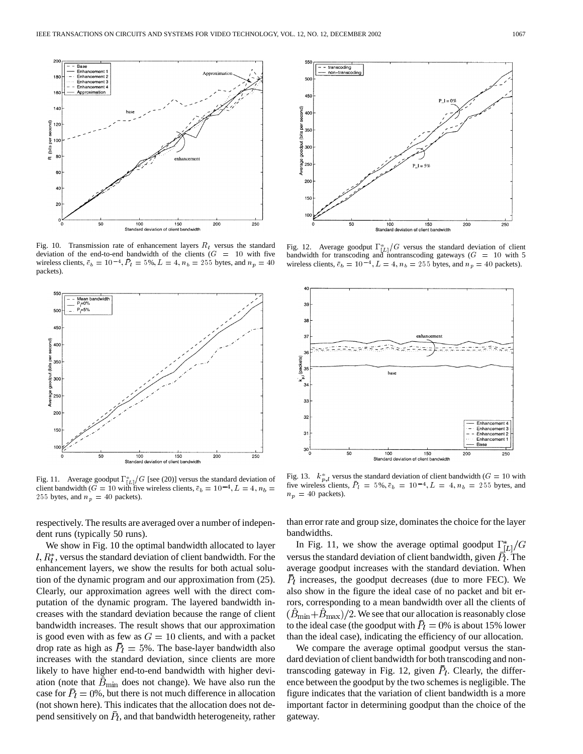

Fig. 10. Transmission rate of enhancement layers  $R_l$  versus the standard deviation of the end-to-end bandwidth of the clients  $(G = 10)$  with five wireless clients,  $\bar{e}_b = 10^{-4}$ ,  $\bar{P}_l = 5\%$ ,  $L = 4$ ,  $n_b = 255$  bytes, and  $n_p = 40$ packets).



Fig. 11. Average goodput  $\Gamma_{[L]}^*/G$  [see (20)] versus the standard deviation of client bandwidth ( $G = 10$  with five wireless clients,  $\bar{e}_b = 10^{-4}$ ,  $L = 4$ ,  $n_b =$ 255 bytes, and  $n_p = 40$  packets).

respectively. The results are averaged over a number of independent runs (typically 50 runs).

We show in Fig. 10 the optimal bandwidth allocated to layer  $l, R_t^*$ , versus the standard deviation of client bandwidth. For the enhancement layers, we show the results for both actual solution of the dynamic program and our approximation from (25). Clearly, our approximation agrees well with the direct computation of the dynamic program. The layered bandwidth increases with the standard deviation because the range of client bandwidth increases. The result shows that our approximation is good even with as few as  $G = 10$  clients, and with a packet drop rate as high as  $\bar{P}_l = 5\%$ . The base-layer bandwidth also increases with the standard deviation, since clients are more likely to have higher end-to-end bandwidth with higher deviation (note that  $\hat{B}_{\text{min}}$  does not change). We have also run the case for  $P_1 = 0\%$ , but there is not much difference in allocation (not shown here). This indicates that the allocation does not depend sensitively on  $\bar{P}_l$ , and that bandwidth heterogeneity, rather



Fig. 12. Average goodput  $\Gamma_{[L]}^*/G$  versus the standard deviation of client bandwidth for transcoding and nontranscoding gateways  $(G = 10 \text{ with } 5$ wireless clients,  $\bar{e}_b = 10^{-4}$ ,  $L = 4$ ,  $n_b = 255$  bytes, and  $n_p = 40$  packets).



Fig. 13.  $k_{p,l}^*$  versus the standard deviation of client bandwidth ( $G = 10$  with five wireless clients,  $\bar{P}_l = 5\%, \bar{e}_b = 10^{-4}, L = 4, n_b = 255$  bytes, and  $n_p = 40$  packets).

than error rate and group size, dominates the choice for the layer bandwidths.

In Fig. 11, we show the average optimal goodput  $\Gamma_{[L]}^*/G$ versus the standard deviation of client bandwidth, given  $\bar{P}_1$ . The average goodput increases with the standard deviation. When  $P_l$  increases, the goodput decreases (due to more FEC). We also show in the figure the ideal case of no packet and bit errors, corresponding to a mean bandwidth over all the clients of  $(\dot{B}_{\text{min}} + \dot{B}_{\text{max}})/2$ . We see that our allocation is reasonably close to the ideal case (the goodput with  $\bar{P}_l = 0\%$  is about 15% lower than the ideal case), indicating the efficiency of our allocation.

We compare the average optimal goodput versus the standard deviation of client bandwidth for both transcoding and nontranscoding gateway in Fig. 12, given  $\bar{P}_l$ . Clearly, the difference between the goodput by the two schemes is negligible. The figure indicates that the variation of client bandwidth is a more important factor in determining goodput than the choice of the gateway.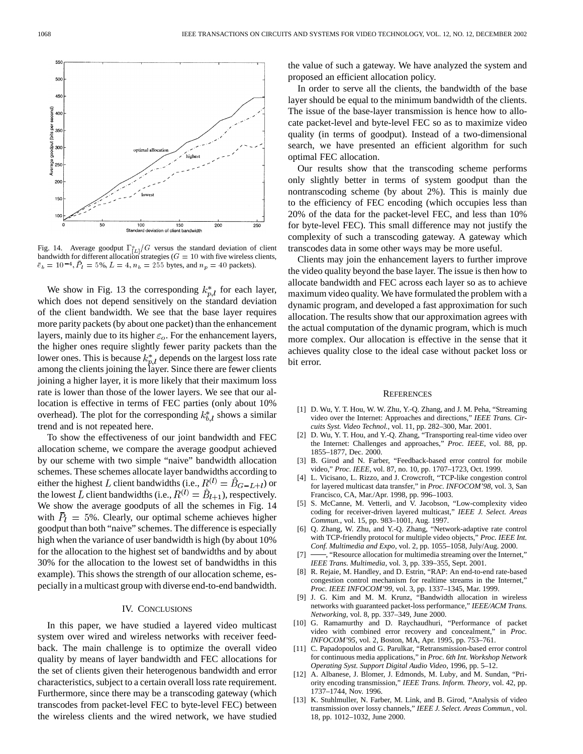

Fig. 14. Average goodput  $\Gamma_{[L]}^*/G$  versus the standard deviation of client bandwidth for different allocation strategies ( $G = 10$  with five wireless clients,  $\bar{e}_b = 10^{-4}, \bar{P}_l = 5\% , L = 4, n_b = 2\bar{5}5$  bytes, and  $n_p = 40$  packets).

We show in Fig. 13 the corresponding  $k_{p,l}^*$  for each layer, which does not depend sensitively on the standard deviation of the client bandwidth. We see that the base layer requires more parity packets (by about one packet) than the enhancement layers, mainly due to its higher  $\varepsilon_o$ . For the enhancement layers, the higher ones require slightly fewer parity packets than the lower ones. This is because  $k_{p,l}^*$  depends on the largest loss rate among the clients joining the layer. Since there are fewer clients joining a higher layer, it is more likely that their maximum loss rate is lower than those of the lower layers. We see that our allocation is effective in terms of FEC parties (only about 10% overhead). The plot for the corresponding  $k_{b,l}^*$  shows a similar trend and is not repeated here.

To show the effectiveness of our joint bandwidth and FEC allocation scheme, we compare the average goodput achieved by our scheme with two simple "naive" bandwidth allocation schemes. These schemes allocate layer bandwidths according to either the highest L client bandwidths (i.e.,  $R^{(l)} = \hat{B}_{G-L+l}$ ) or the lowest L client bandwidths (i.e.,  $R^{(l)} = \hat{B}_{l+1}$ ), respectively. We show the average goodputs of all the schemes in Fig. 14 with  $\bar{P}_l = 5\%$ . Clearly, our optimal scheme achieves higher goodput than both "naive" schemes. The difference is especially high when the variance of user bandwidth is high (by about 10% for the allocation to the highest set of bandwidths and by about 30% for the allocation to the lowest set of bandwidths in this example). This shows the strength of our allocation scheme, especially in a multicast group with diverse end-to-end bandwidth.

# IV. CONCLUSIONS

In this paper, we have studied a layered video multicast system over wired and wireless networks with receiver feedback. The main challenge is to optimize the overall video quality by means of layer bandwidth and FEC allocations for the set of clients given their heterogenous bandwidth and error characteristics, subject to a certain overall loss rate requirement. Furthermore, since there may be a transcoding gateway (which transcodes from packet-level FEC to byte-level FEC) between the wireless clients and the wired network, we have studied the value of such a gateway. We have analyzed the system and proposed an efficient allocation policy.

In order to serve all the clients, the bandwidth of the base layer should be equal to the minimum bandwidth of the clients. The issue of the base-layer transmission is hence how to allocate packet-level and byte-level FEC so as to maximize video quality (in terms of goodput). Instead of a two-dimensional search, we have presented an efficient algorithm for such optimal FEC allocation.

Our results show that the transcoding scheme performs only slightly better in terms of system goodput than the nontranscoding scheme (by about 2%). This is mainly due to the efficiency of FEC encoding (which occupies less than 20% of the data for the packet-level FEC, and less than 10% for byte-level FEC). This small difference may not justify the complexity of such a transcoding gateway. A gateway which transcodes data in some other ways may be more useful.

Clients may join the enhancement layers to further improve the video quality beyond the base layer. The issue is then how to allocate bandwidth and FEC across each layer so as to achieve maximum video quality. We have formulated the problem with a dynamic program, and developed a fast approximation for such allocation. The results show that our approximation agrees with the actual computation of the dynamic program, which is much more complex. Our allocation is effective in the sense that it achieves quality close to the ideal case without packet loss or bit error.

#### **REFERENCES**

- [1] D. Wu, Y. T. Hou, W. W. Zhu, Y.-Q. Zhang, and J. M. Peha, "Streaming video over the Internet: Approaches and directions," *IEEE Trans. Circuits Syst. Video Technol.*, vol. 11, pp. 282–300, Mar. 2001.
- [2] D. Wu, Y. T. Hou, and Y.-Q. Zhang, "Transporting real-time video over the Internet: Challenges and approaches," *Proc. IEEE*, vol. 88, pp. 1855–1877, Dec. 2000.
- [3] B. Girod and N. Farber, "Feedback-based error control for mobile video," *Proc. IEEE*, vol. 87, no. 10, pp. 1707–1723, Oct. 1999.
- [4] L. Vicisano, L. Rizzo, and J. Crowcroft, "TCP-like congestion control for layered multicast data transfer," in *Proc. INFOCOM'98*, vol. 3, San Francisco, CA, Mar./Apr. 1998, pp. 996–1003.
- [5] S. McCanne, M. Vetterli, and V. Jacobson, "Low-complexity video coding for receiver-driven layered multicast," *IEEE J. Select. Areas Commun.*, vol. 15, pp. 983–1001, Aug. 1997.
- [6] Q. Zhang, W. Zhu, and Y.-Q. Zhang, "Network-adaptive rate control with TCP-friendly protocol for multiple video objects," *Proc. IEEE Int. Conf. Multimedia and Expo*, vol. 2, pp. 1055–1058, July/Aug. 2000.
- [7]  $\rightarrow$  "Resource allocation for multimedia streaming over the Internet," *IEEE Trans. Multimedia*, vol. 3, pp. 339–355, Sept. 2001.
- [8] R. Rejaie, M. Handley, and D. Estrin, "RAP: An end-to-end rate-based congestion control mechanism for realtime streams in the Internet," *Proc. IEEE INFOCOM'99*, vol. 3, pp. 1337–1345, Mar. 1999.
- [9] J. G. Kim and M. M. Krunz, "Bandwidth allocation in wireless networks with guaranteed packet-loss performance," *IEEE/ACM Trans. Networking*, vol. 8, pp. 337–349, June 2000.
- [10] G. Ramamurthy and D. Raychaudhuri, "Performance of packet video with combined error recovery and concealment," in *Proc. INFOCOM'95*, vol. 2, Boston, MA, Apr. 1995, pp. 753–761.
- [11] C. Papadopoulos and G. Parulkar, "Retransmission-based error control for continuous media applications," in *Proc. 6th Int. Workshop Network Operating Syst. Support Digital Audio Video*, 1996, pp. 5–12.
- [12] A. Albanese, J. Blomer, J. Edmonds, M. Luby, and M. Sundan, "Priority encoding transmission," *IEEE Trans. Inform. Theory*, vol. 42, pp. 1737–1744, Nov. 1996.
- [13] K. Stuhlmuller, N. Farber, M. Link, and B. Girod, "Analysis of video transmission over lossy channels," *IEEE J. Select. Areas Commun.*, vol. 18, pp. 1012–1032, June 2000.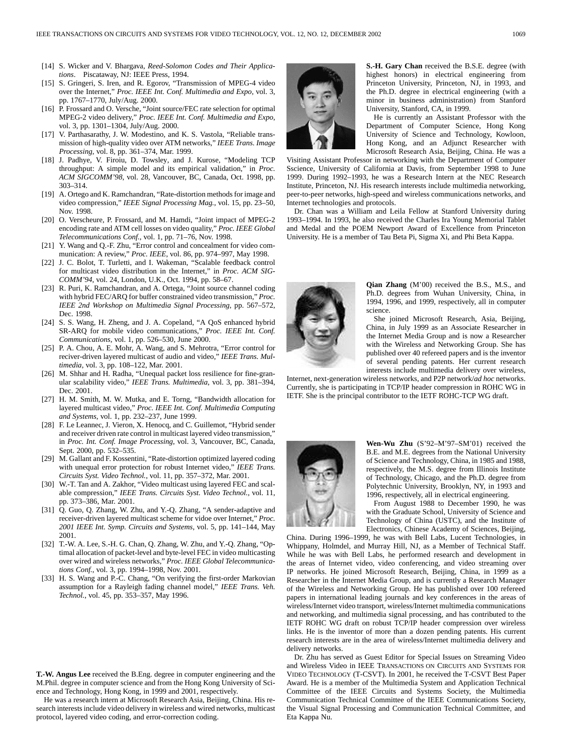- [14] S. Wicker and V. Bhargava, *Reed-Solomon Codes and Their Applications*. Piscataway, NJ: IEEE Press, 1994.
- [15] S. Gringeri, S. Iren, and R. Egorov, "Transmission of MPEG-4 video over the Internet," *Proc. IEEE Int. Conf. Multimedia and Expo*, vol. 3, pp. 1767–1770, July/Aug. 2000.
- [16] P. Frossard and O. Versche, "Joint source/FEC rate selection for optimal MPEG-2 video delivery," *Proc. IEEE Int. Conf. Multimedia and Expo*, vol. 3, pp. 1301–1304, July/Aug. 2000.
- [17] V. Parthasarathy, J. W. Modestino, and K. S. Vastola, "Reliable transmission of high-quality video over ATM networks," *IEEE Trans. Image Processing*, vol. 8, pp. 361–374, Mar. 1999.
- [18] J. Padhye, V. Firoiu, D. Towsley, and J. Kurose, "Modeling TCP throughput: A simple model and its empirical validation," in *Proc. ACM SIGCOMM'98*, vol. 28, Vancouver, BC, Canada, Oct. 1998, pp. 303–314.
- [19] A. Ortego and K. Ramchandran, "Rate-distortion methods for image and video compression," *IEEE Signal Processing Mag.*, vol. 15, pp. 23–50, Nov. 1998.
- [20] O. Verscheure, P. Frossard, and M. Hamdi, "Joint impact of MPEG-2 encoding rate and ATM cell losses on video quality," *Proc. IEEE Global Telecommunications Conf.*, vol. 1, pp. 71–76, Nov. 1998.
- [21] Y. Wang and Q.-F. Zhu, "Error control and concealment for video communication: A review," *Proc. IEEE*, vol. 86, pp. 974–997, May 1998.
- [22] J. C. Bolot, T. Turletti, and I. Wakeman, "Scalable feedback control for multicast video distribution in the Internet," in *Proc. ACM SIG-COMM'94*, vol. 24, London, U.K., Oct. 1994, pp. 58–67.
- [23] R. Puri, K. Ramchandran, and A. Ortega, "Joint source channel coding with hybrid FEC/ARQ for buffer constrained video transmission," *Proc. IEEE 2nd Workshop on Multimedia Signal Processing*, pp. 567–572, Dec. 1998.
- [24] S. S. Wang, H. Zheng, and J. A. Copeland, "A QoS enhanced hybrid SR-ARQ for mobile video communications," *Proc. IEEE Int. Conf. Communications*, vol. 1, pp. 526–530, June 2000.
- [25] P. A. Chou, A. E. Mohr, A. Wang, and S. Mehrotra, "Error control for reciver-driven layered multicast of audio and video," *IEEE Trans. Multimedia*, vol. 3, pp. 108–122, Mar. 2001.
- [26] M. Shhar and H. Radha, "Unequal packet loss resilience for fine-granular scalability video," *IEEE Trans. Multimedia*, vol. 3, pp. 381–394, Dec. 2001.
- [27] H. M. Smith, M. W. Mutka, and E. Torng, "Bandwidth allocation for layered multicast video," *Proc. IEEE Int. Conf. Multimedia Computing and Systems*, vol. 1, pp. 232–237, June 1999.
- [28] F. Le Leannec, J. Vieron, X. Henocq, and C. Guillemot, "Hybrid sender and receiver driven rate control in multicast layered video transmission," in *Proc. Int. Conf. Image Processing*, vol. 3, Vancouver, BC, Canada, Sept. 2000, pp. 532–535.
- [29] M. Gallant and F. Kossentini, "Rate-distortion optimized layered coding with unequal error protection for robust Internet video," *IEEE Trans. Circuits Syst. Video Technol.*, vol. 11, pp. 357–372, Mar. 2001.
- [30] W.-T. Tan and A. Zakhor, "Video multicast using layered FEC and scalable compression," *IEEE Trans. Circuits Syst. Video Technol.*, vol. 11, pp. 373–386, Mar. 2001.
- [31] Q. Guo, Q. Zhang, W. Zhu, and Y.-Q. Zhang, "A sender-adaptive and receiver-driven layered multicast scheme for vidoe over Internet," *Proc. 2001 IEEE Int. Symp. Circuits and Systems*, vol. 5, pp. 141–144, May 2001.
- [32] T.-W. A. Lee, S.-H. G. Chan, Q. Zhang, W. Zhu, and Y.-Q. Zhang, "Optimal allocation of packet-level and byte-level FEC in video multicasting over wired and wireless networks," *Proc. IEEE Global Telecommunications Conf.*, vol. 3, pp. 1994–1998, Nov. 2001.
- [33] H. S. Wang and P.-C. Chang, "On verifying the first-order Markovian assumption for a Rayleigh fading channel model," *IEEE Trans. Veh. Technol.*, vol. 45, pp. 353–357, May 1996.

**T.-W. Angus Lee** received the B.Eng. degree in computer engineering and the M.Phil. degree in computer science and from the Hong Kong University of Science and Technology, Hong Kong, in 1999 and 2001, respectively.

He was a research intern at Microsoft Research Asia, Beijing, China. His research interests include video delivery in wireless and wired networks, multicast protocol, layered video coding, and error-correction coding.



**S.-H. Gary Chan** received the B.S.E. degree (with highest honors) in electrical engineering from Princeton University, Princeton, NJ, in 1993, and the Ph.D. degree in electrical engineering (with a minor in business administration) from Stanford University, Stanford, CA, in 1999.

He is currently an Assistant Professor with the Department of Computer Science, Hong Kong University of Science and Technology, Kowloon, Hong Kong, and an Adjunct Researcher with Microsoft Research Asia, Beijing, China. He was a

Visiting Assistant Professor in networking with the Department of Computer Sscience, University of California at Davis, from September 1998 to June 1999. During 1992–1993, he was a Research Intern at the NEC Research Institute, Princeton, NJ. His research interests include multimedia networking, peer-to-peer networks, high-speed and wireless communications networks, and Internet technologies and protocols.

Dr. Chan was a William and Leila Fellow at Stanford University during 1993–1994. In 1993, he also received the Charles Ira Young Memorial Tablet and Medal and the POEM Newport Award of Excellence from Princeton University. He is a member of Tau Beta Pi, Sigma Xi, and Phi Beta Kappa.



**Qian Zhang** (M'00) received the B.S., M.S., and Ph.D. degrees from Wuhan University, China, in 1994, 1996, and 1999, respectively, all in computer science.

She joined Microsoft Research, Asia, Beijing, China, in July 1999 as an Associate Researcher in the Internet Media Group and is now a Researcher with the Wireless and Networking Group. She has published over 40 refereed papers and is the inventor of several pending patents. Her current research interests include multimedia delivery over wireless,

Internet, next-generation wireless networks, and P2P network/*ad hoc* networks. Currently, she is participating in TCP/IP header compression in ROHC WG in IETF. She is the principal contributor to the IETF ROHC-TCP WG draft.



**Wen-Wu Zhu** (S'92–M'97–SM'01) received the B.E. and M.E. degrees from the National University of Science and Technology, China, in 1985 and 1988, respectively, the M.S. degree from Illinois Institute of Technology, Chicago, and the Ph.D. degree from Polytechnic University, Brooklyn, NY, in 1993 and 1996, respectively, all in electrical engineering.

From August 1988 to December 1990, he was with the Graduate School, University of Science and Technology of China (USTC), and the Institute of Electronics, Chinese Academy of Sciences, Beijing,

China. During 1996–1999, he was with Bell Labs, Lucent Technologies, in Whippany, Holmdel, and Murray Hill, NJ, as a Member of Technical Staff. While he was with Bell Labs, he performed research and development in the areas of Internet video, video conferencing, and video streaming over IP networks. He joined Microsoft Research, Beijing, China, in 1999 as a Researcher in the Internet Media Group, and is currently a Research Manager of the Wireless and Networking Group. He has published over 100 refereed papers in international leading journals and key conferences in the areas of wireless/Internet video transport, wireless/Internet multimedia communications and networking, and multimedia signal processing, and has contributed to the IETF ROHC WG draft on robust TCP/IP header compression over wireless links. He is the inventor of more than a dozen pending patents. His current research interests are in the area of wireless/Internet multimedia delivery and delivery networks.

Dr. Zhu has served as Guest Editor for Special Issues on Streaming Video and Wireless Video in IEEE TRANSACTIONS ON CIRCUITS AND SYSTEMS FOR VIDEO TECHNOLOGY (T-CSVT). In 2001, he received the T-CSVT Best Paper Award. He is a member of the Multimedia System and Application Technical Committee of the IEEE Circuits and Systems Society, the Multimedia Communication Technical Committee of the IEEE Communications Society, the Visual Signal Processing and Communication Technical Committee, and Eta Kappa Nu.